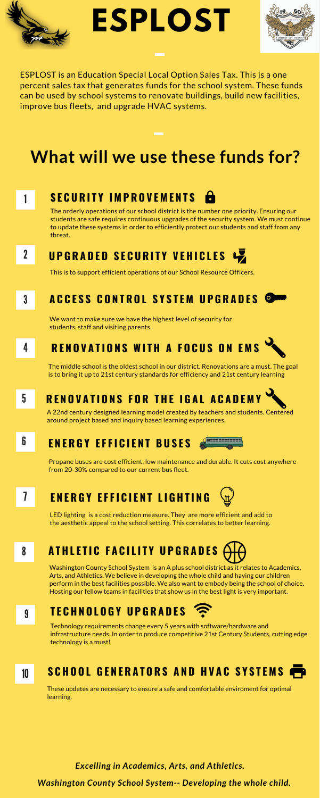ESPLOST is an Education Special Local Option Sales Tax. This is a one percent sales tax that generates funds for the school system. These funds can be used by school systems to renovate buildings, build new facilities, improve bus fleets, and upgrade HVAC systems.

> The orderly operations of our school district is the number one priority. Ensuring our students are safe requires continuous upgrades of the security system. We must continue to update these systems in order to efficiently protect our students and staff from any threat.

### $2$  **UPGRADED SECURITY VEHICLES**

Washington County School System is an A plus school district as it relates to Academics, Arts, and Athletics. We believe in developing the whole child and having our children perform in the best facilities possible. We also want to embody being the school of choice. Hosting our fellow teams in facilities that show us in the best light is very important.

*Washington County School System-- Developing the whole child.*

### 1 **S E C U R I T Y I M P R O V E M E N T S**

This is to support efficient operations of our School Resource Officers.

### **3** ACCESS CONTROL SYSTEM UPGRADES O

We want to make sure we have the highest level of security for students, staff and visiting parents.

## 4 RENOVATIONS WITH A FOCUS ON EMS

The middle school is the oldest school in our district. Renovations are a must. The goal is to bring it up to 21st century standards for efficiency and 21st century learning

5

# **RENOVATIONS FOR THE IGAL ACADEMY**

A 22nd century designed learning model created by teachers and students. Centered around project based and inquiry based learning experiences.

Propane buses are cost efficient, low maintenance and durable. It cuts cost anywhere from 20-30% compared to our current bus fleet.

**E N E R G Y E F F I C I E N T B U S E S** 6



LED lighting is a cost reduction measure. They are more efficient and add to the aesthetic appeal to the school setting. This correlates to better learning.

#### **E N E R G Y E F F I C I E N T L I G H T I N G** 7



# **A T H L E T I C F A C I L I T Y U P G R A D E S**

### 8



# **ESPLOST**



# **What will we use these funds for?**

### 9 **T E C H N O L O G Y U P G R A D E S**

Technology requirements change every 5 years with software/hardware and infrastructure needs. In order to produce competitive 21st Century Students, cutting edge technology is a must!

### 10 SCHOOL GENERATORS AND HVAC SYSTEMS

These updates are necessary to ensure a safe and comfortable enviroment for optimal learning.

*Excelling in Academics, Arts, and Athletics.*